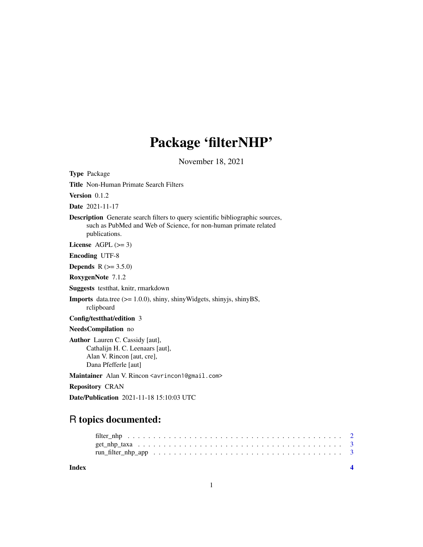## Package 'filterNHP'

November 18, 2021

| <b>Type Package</b>                                                                                                                                                        |
|----------------------------------------------------------------------------------------------------------------------------------------------------------------------------|
| Title Non-Human Primate Search Filters                                                                                                                                     |
| Version $0.1.2$                                                                                                                                                            |
| <b>Date</b> 2021-11-17                                                                                                                                                     |
| <b>Description</b> Generate search filters to query scientific bibliographic sources,<br>such as PubMed and Web of Science, for non-human primate related<br>publications. |
| License AGPL $(>= 3)$                                                                                                                                                      |
| <b>Encoding UTF-8</b>                                                                                                                                                      |
| <b>Depends</b> $R (= 3.5.0)$                                                                                                                                               |
| RoxygenNote 7.1.2                                                                                                                                                          |
| Suggests testthat, knitr, rmarkdown                                                                                                                                        |
| <b>Imports</b> data.tree $(>= 1.0.0)$ , shiny, shinyWidgets, shinyjs, shinyBS,<br>rclipboard                                                                               |
| Config/testthat/edition 3                                                                                                                                                  |
| NeedsCompilation no                                                                                                                                                        |
| <b>Author</b> Lauren C. Cassidy [aut],<br>Cathalijn H. C. Leenaars [aut],<br>Alan V. Rincon [aut, cre],<br>Dana Pfefferle [aut]                                            |
| Maintainer Alan V. Rincon <avrincon1@gmail.com></avrincon1@gmail.com>                                                                                                      |
| <b>Repository CRAN</b>                                                                                                                                                     |

Date/Publication 2021-11-18 15:10:03 UTC

### R topics documented:

| Index |                                                                                                                       |  |  |  |  |  |  |  |  |  |  |  |  |  |  |  |  |
|-------|-----------------------------------------------------------------------------------------------------------------------|--|--|--|--|--|--|--|--|--|--|--|--|--|--|--|--|
|       |                                                                                                                       |  |  |  |  |  |  |  |  |  |  |  |  |  |  |  |  |
|       | $get_nhp\_taxa \dots \dots \dots \dots \dots \dots \dots \dots \dots \dots \dots \dots \dots \dots \dots \dots \dots$ |  |  |  |  |  |  |  |  |  |  |  |  |  |  |  |  |
|       |                                                                                                                       |  |  |  |  |  |  |  |  |  |  |  |  |  |  |  |  |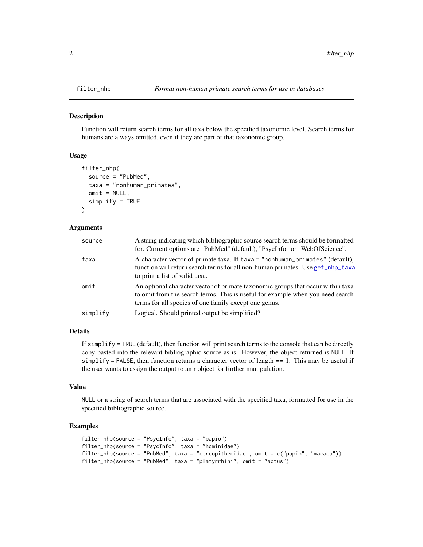<span id="page-1-0"></span>

#### **Description**

Function will return search terms for all taxa below the specified taxonomic level. Search terms for humans are always omitted, even if they are part of that taxonomic group.

#### Usage

```
filter_nhp(
  source = "PubMed",
  taxa = "nonhuman_primates",
  omit = NULL,simplify = TRUE
)
```
#### Arguments

| source   | A string indicating which bibliographic source search terms should be formatted<br>for. Current options are "PubMed" (default), "PsycInfo" or "WebOfScience".                                                              |
|----------|----------------------------------------------------------------------------------------------------------------------------------------------------------------------------------------------------------------------------|
| taxa     | A character vector of primate taxa. If taxa = "nonhuman_primates" (default),<br>function will return search terms for all non-human primates. Use get_nhp_taxa<br>to print a list of valid taxa.                           |
| omit     | An optional character vector of primate taxonomic groups that occur within taxa<br>to omit from the search terms. This is useful for example when you need search<br>terms for all species of one family except one genus. |
| simplify | Logical. Should printed output be simplified?                                                                                                                                                                              |

#### Details

If simplify = TRUE (default), then function will print search terms to the console that can be directly copy-pasted into the relevant bibliographic source as is. However, the object returned is NULL. If simplify = FALSE, then function returns a character vector of length  $== 1$ . This may be useful if the user wants to assign the output to an r object for further manipulation.

#### Value

NULL or a string of search terms that are associated with the specified taxa, formatted for use in the specified bibliographic source.

#### Examples

```
filter_nhp(source = "PsycInfo", taxa = "papio")
filter_nhp(source = "PsycInfo", taxa = "hominidae")
filter_nhp(source = "PubMed", taxa = "cercopithecidae", omit = c("papio", "macaca"))
filter_nhp(source = "PubMed", taxa = "platyrrhini", omit = "aotus")
```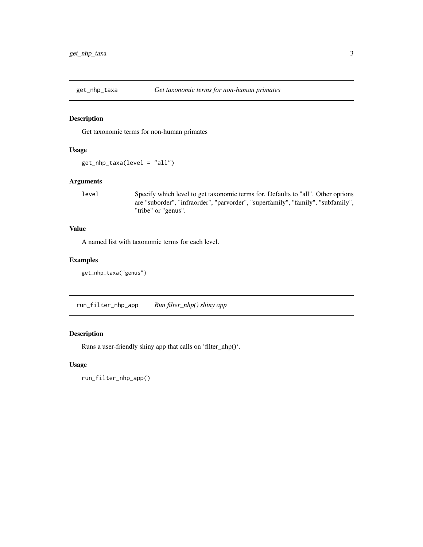<span id="page-2-1"></span><span id="page-2-0"></span>

#### Description

Get taxonomic terms for non-human primates

#### Usage

```
get_nhp_taxa(level = "all")
```
#### Arguments

level Specify which level to get taxonomic terms for. Defaults to "all". Other options are "suborder", "infraorder", "parvorder", "superfamily", "family", "subfamily", "tribe" or "genus".

### Value

A named list with taxonomic terms for each level.

#### Examples

get\_nhp\_taxa("genus")

run\_filter\_nhp\_app *Run filter\_nhp() shiny app*

#### Description

Runs a user-friendly shiny app that calls on 'filter\_nhp()'.

#### Usage

run\_filter\_nhp\_app()